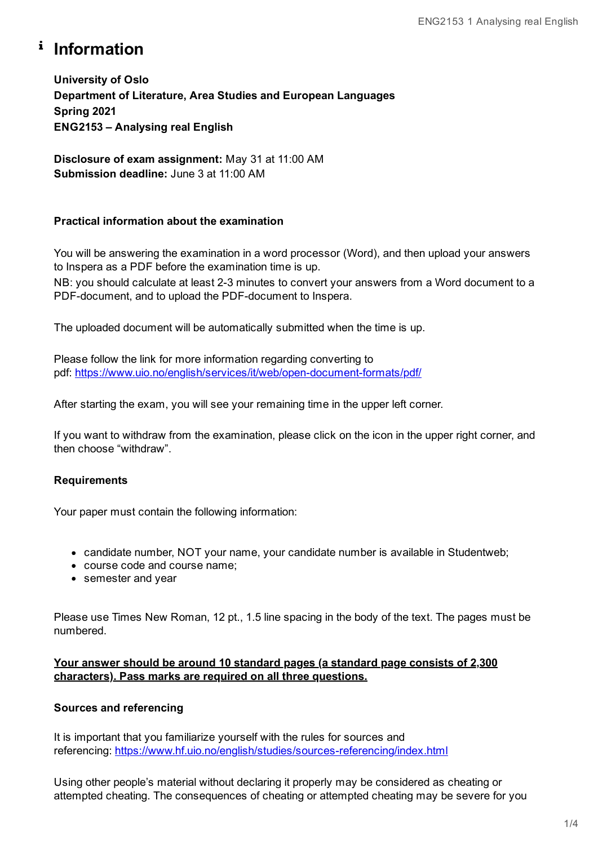# <sup>i</sup> Information

**University of Oslo Department of Literature, Area Studies and European Languages Spring 2021 ENG2153 – Analysing real English**

**Disclosure of exam assignment:** May 31 at 11:00 AM **Submission deadline:** June 3 at 11:00 AM

## **Practical information about the examination**

You will be answering the examination in a word processor (Word), and then upload your answers to Inspera as a PDF before the examination time is up.

NB: you should calculate at least 2-3 minutes to convert your answers from a Word document to a PDF-document, and to upload the PDF-document to Inspera.

The uploaded document will be automatically submitted when the time is up.

Please follow the link for more information regarding converting to pdf: <https://www.uio.no/english/services/it/web/open-document-formats/pdf/>

After starting the exam, you will see your remaining time in the upper left corner.

If you want to withdraw from the examination, please click on the icon in the upper right corner, and then choose "withdraw".

## **Requirements**

Your paper must contain the following information:

- candidate number, NOT your name, your candidate number is available in Studentweb;
- course code and course name;
- semester and year

Please use Times New Roman, 12 pt., 1.5 line spacing in the body of the text. The pages must be numbered.

## **Your answer should be around 10 standard pages (a standard page consists of 2,300 characters). Pass marks are required on all three questions.**

## **Sources and referencing**

It is important that you familiarize yourself with the rules for sources and referencing: <https://www.hf.uio.no/english/studies/sources-referencing/index.html>

Using other people's material without declaring it properly may be considered as cheating or attempted cheating. The consequences of cheating or attempted cheating may be severe for you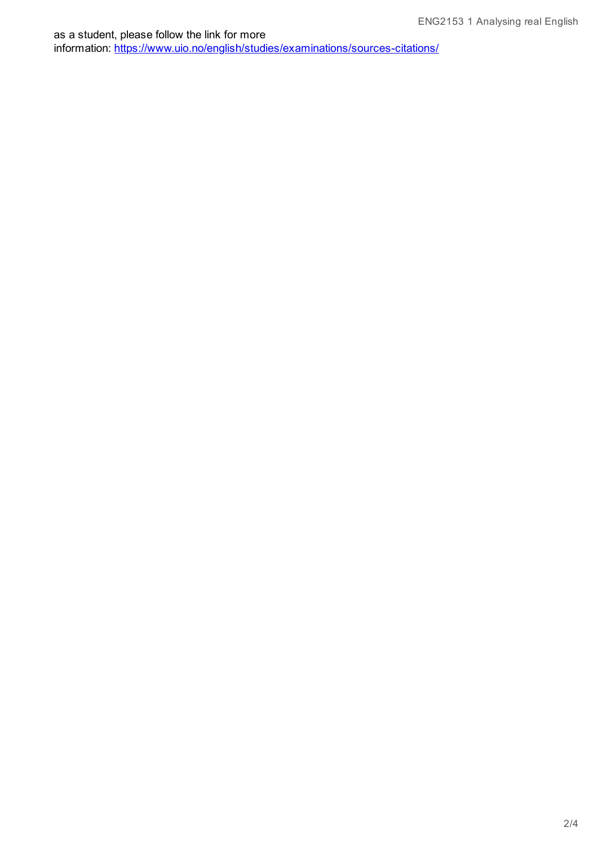as a student, please follow the link for more information: <https://www.uio.no/english/studies/examinations/sources-citations/>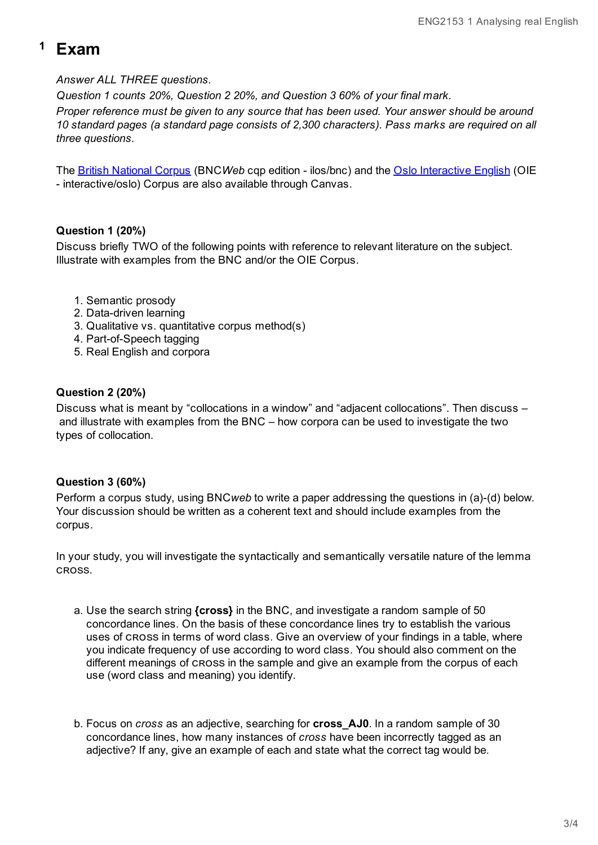# **<sup>1</sup> Exam**

## *Answer ALL THREE questions.*

*Question 1 counts 20%, Question 2 20%, and Question 3 60% of your final mark.*

*Proper reference must be given to any source that has been used. Your answer should be around 10 standard pages (a standard page consists of 2,300 characters). Pass marks are required on all three questions.*

The British [National](http://www.tekstlab.uio.no/bnc/BNCquery.pl?theQuery=search&urlTest=yes) Corpus (BNC*Web* cqp edition - ilos/bnc) and the Oslo [Interactive](http://www.tekstlab.uio.no/cgi-bin/omc/OIEsearch.cgi) English (OIE - interactive/oslo) Corpus are also available through Canvas.

## **Question 1 (20%)**

Discuss briefly TWO of the following points with reference to relevant literature on the subject. Illustrate with examples from the BNC and/or the OIE Corpus.

- 1. Semantic prosody
- 2. Data-driven learning
- 3. Qualitative vs. quantitative corpus method(s)
- 4. Part-of-Speech tagging
- 5. Real English and corpora

## **Question 2 (20%)**

Discuss what is meant by "collocations in a window" and "adjacent collocations". Then discuss – and illustrate with examples from the BNC – how corpora can be used to investigate the two types of collocation.

## **Question 3 (60%)**

Perform a corpus study, using BNC*web* to write a paper addressing the questions in (a)-(d) below. Your discussion should be written as a coherent text and should include examples from the corpus.

In your study, you will investigate the syntactically and semantically versatile nature of the lemma CROSS.

- a. Use the search string **{cross}** in the BNC, and investigate a random sample of 50 concordance lines. On the basis of these concordance lines try to establish the various uses of cross in terms of word class. Give an overview of your findings in a table, where you indicate frequency of use according to word class. You should also comment on the different meanings of cross in the sample and give an example from the corpus of each use (word class and meaning) you identify.
- b. Focus on *cross* as an adjective, searching for **cross\_AJ0**. In a random sample of 30 concordance lines, how many instances of *cross* have been incorrectly tagged as an adjective? If any, give an example of each and state what the correct tag would be.